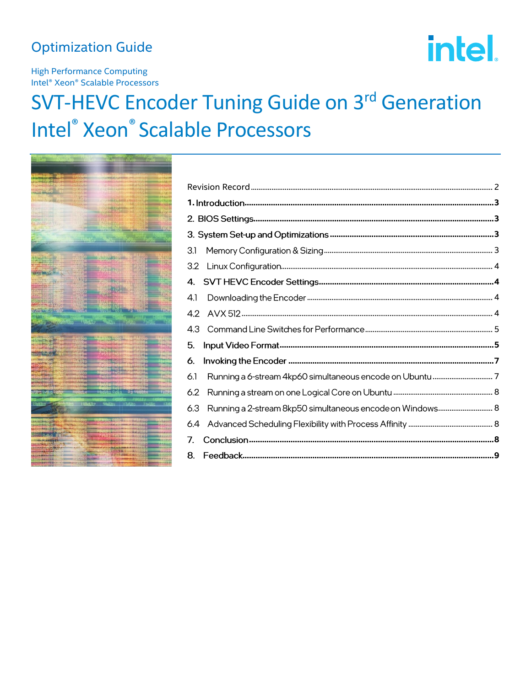## **Optimization Guide**

# intel.

**High Performance Computing** Intel<sup>®</sup> Xeon<sup>®</sup> Scalable Processors

## **SVT-HEVC Encoder Tuning Guide on 3rd Generation Intel<sup>®</sup> Xeon<sup>®</sup> Scalable Processors**



| 3.1                                                              |  |
|------------------------------------------------------------------|--|
| 3.2                                                              |  |
| 4.                                                               |  |
| 4.1                                                              |  |
| 4.2                                                              |  |
| 4.3                                                              |  |
| 5.                                                               |  |
| 6.                                                               |  |
| 6.1                                                              |  |
| 6.2                                                              |  |
| Running a 2-stream 8kp50 simultaneous encode on Windows 8<br>6.3 |  |
| 6.4                                                              |  |
| 7.                                                               |  |
| 8.                                                               |  |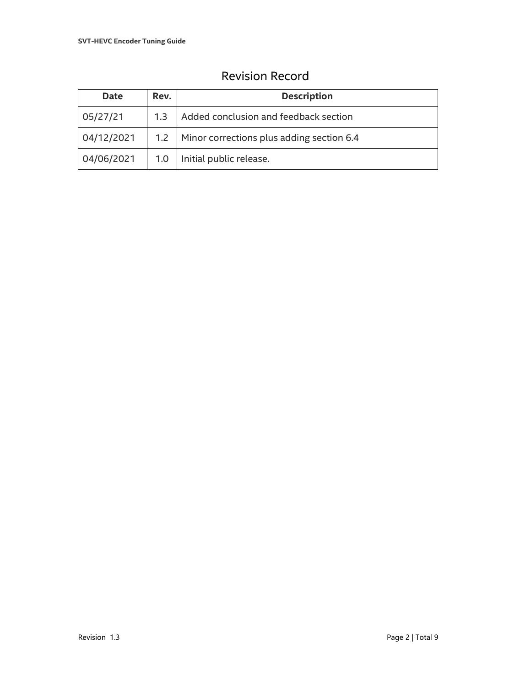<span id="page-1-0"></span>

| <b>Date</b> | Rev. | <b>Description</b>                              |  |
|-------------|------|-------------------------------------------------|--|
| 05/27/21    | 1.3  | Added conclusion and feedback section           |  |
| 04/12/2021  |      | 1.2   Minor corrections plus adding section 6.4 |  |
| 04/06/2021  |      | 1.0   Initial public release.                   |  |

## Revision Record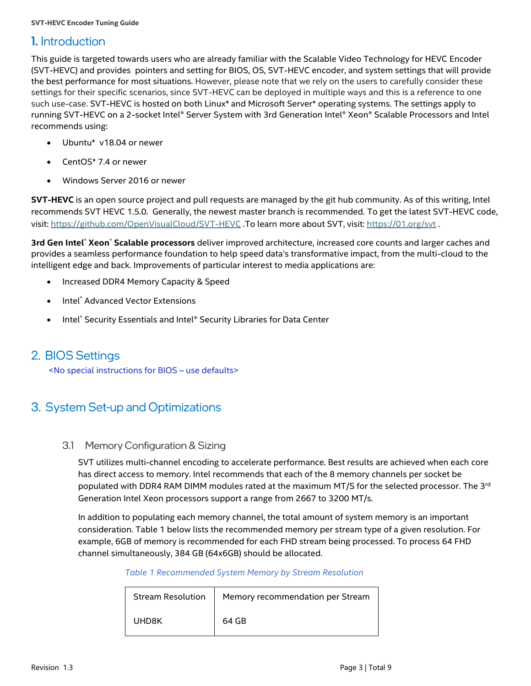## <span id="page-2-0"></span>**1.** Introduction

This guide is targeted towards users who are already familiar with the Scalable Video Technology for HEVC Encoder (SVT-HEVC) and provides pointers and setting for BIOS, OS, SVT-HEVC encoder, and system settings that will provide the best performance for most situations. However, please note that we rely on the users to carefully consider these settings for their specific scenarios, since SVT-HEVC can be deployed in multiple ways and this is a reference to one such use-case. SVT-HEVC is hosted on both Linux\* and Microsoft Server\* operating systems. The settings apply to running SVT-HEVC on a 2-socket Intel® Server System with 3rd Generation Intel® Xeon® Scalable Processors and Intel recommends using:

- Ubuntu\* v18.04 or newer
- CentOS\* 7.4 or newer
- Windows Server 2016 or newer

**SVT-HEVC** is an open source project and pull requests are managed by the git hub community. As of this writing, Intel recommends SVT HEVC 1.5.0. Generally, the newest master branch is recommended. To get the latest SVT-HEVC code, visit[: https://github.com/OpenVisualCloud/SVT-HEVC](https://github.com/OpenVisualCloud/SVT-HEVC) .To learn more about SVT, visit:<https://01.org/svt> .

**3rd Gen Intel**® **Xeon**® **Scalable processors** deliver improved architecture, increased core counts and larger caches and provides a seamless performance foundation to help speed data's transformative impact, from the multi-cloud to the intelligent edge and back. Improvements of particular interest to media applications are:

- Increased DDR4 Memory Capacity & Speed
- Intel<sup>®</sup> Advanced Vector Extensions
- Intel<sup>®</sup> Security Essentials and Intel® Security Libraries for Data Center

## <span id="page-2-1"></span>2. BIOS Settings

<No special instructions for BIOS – use defaults>

## <span id="page-2-3"></span><span id="page-2-2"></span>3. System Set-up and Optimizations

#### 3.1 Memory Configuration & Sizing

SVT utilizes multi-channel encoding to accelerate performance. Best results are achieved when each core has direct access to memory. Intel recommends that each of the 8 memory channels per socket be populated with DDR4 RAM DIMM modules rated at the maximum MT/S for the selected processor. The 3<sup>rd</sup> Generation Intel Xeon processors support a range from 2667 to 3200 MT/s.

<span id="page-2-4"></span>In addition to populating each memory channel, the total amount of system memory is an important consideration. [Table 1](#page-2-4) [below](#page-2-4) lists the recommended memory per stream type of a given resolution. For example, 6GB of memory is recommended for each FHD stream being processed. To process 64 FHD channel simultaneously, 384 GB (64x6GB) should be allocated.

#### *Table 1 Recommended System Memory by Stream Resolution*

| <b>Stream Resolution</b> | Memory recommendation per Stream |
|--------------------------|----------------------------------|
| UHD8K                    | 64 GB                            |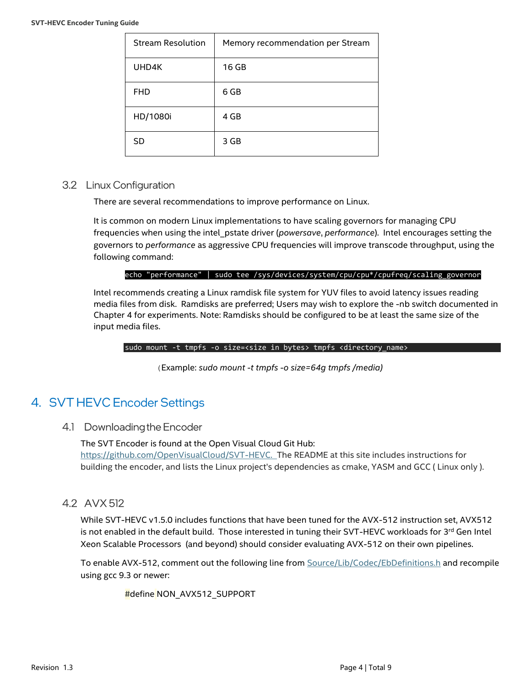| <b>Stream Resolution</b> | Memory recommendation per Stream |
|--------------------------|----------------------------------|
| UHD4K                    | 16 GB                            |
| <b>FHD</b>               | 6 GB                             |
| HD/1080i                 | 4 GB                             |
| <b>SD</b>                | 3 GB                             |

#### <span id="page-3-0"></span>3.2 Linux Configuration

There are several recommendations to improve performance on Linux.

It is common on modern Linux implementations to have scaling governors for managing CPU frequencies when using the intel\_pstate driver (*powersave*, *performance*). Intel encourages setting the governors to *performance* as aggressive CPU frequencies will improve transcode throughput, using the following command:

#### echo "performance" | sudo tee /sys/devices/system/cpu/cpu\*/cpufreq/scaling\_governor

Intel recommends creating a Linux ramdisk file system for YUV files to avoid latency issues reading media files from disk. Ramdisks are preferred; Users may wish to explore the -nb switch documented in Chapter 4 for experiments. Note: Ramdisks should be configured to be at least the same size of the input media files.

sudo mount -t tmpfs -o size=<size in bytes> tmpfs <directory\_name>

(Example: *sudo mount -t tmpfs -o size=64g tmpfs /media)*

## <span id="page-3-1"></span>4. SVT HEVC Encoder Settings

<span id="page-3-2"></span>4.1 Downloading the Encoder

The SVT Encoder is found at the Open Visual Cloud Git Hub: [https://github.com/OpenVisualCloud/SVT-HEVC.](https://github.com/OpenVisualCloud/SVT-HEVC) The README at this site includes instructions for building the encoder, and lists the Linux project's dependencies as cmake, YASM and GCC ( Linux only ).

<span id="page-3-3"></span>4.2 AVX 512

While SVT-HEVC v1.5.0 includes functions that have been tuned for the AVX-512 instruction set, AVX512 is not enabled in the default build. Those interested in tuning their SVT-HEVC workloads for 3<sup>rd</sup> Gen Intel Xeon Scalable Processors (and beyond) should consider evaluating AVX-512 on their own pipelines.

To enable AVX-512, comment out the following line from [Source/Lib/Codec/EbDefinitions.h](https://github.com/OpenVisualCloud/SVT-HEVC/blob/v1.5.0/Source/Lib/Codec/EbDefinitions.h#L18) and recompile using gcc 9.3 or newer:

#define NON\_AVX512\_SUPPORT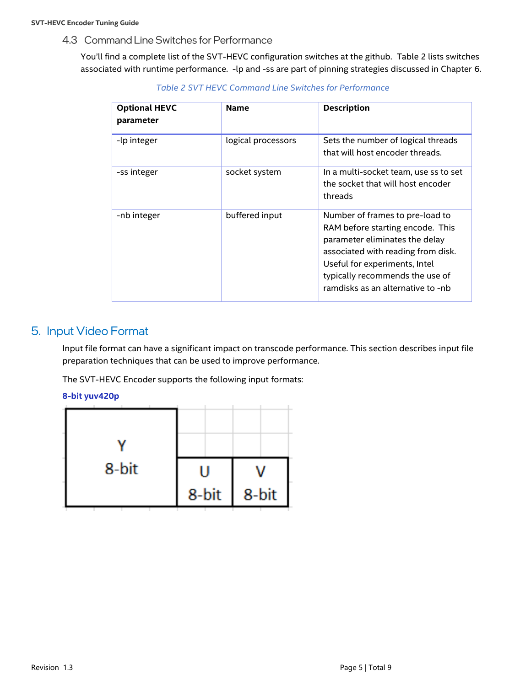<span id="page-4-2"></span>4.3 Command Line Switches for Performance

<span id="page-4-0"></span>You'll find a complete list of the SVT-HEVC configuration switches at the github. [Table 2](#page-4-2) lists switches associated with runtime performance. -lp and -ss are part of pinning strategies discussed in Chapter 6.

| <b>Optional HEVC</b><br>parameter | <b>Name</b>        | <b>Description</b>                                                                                                                                                                                                                                   |
|-----------------------------------|--------------------|------------------------------------------------------------------------------------------------------------------------------------------------------------------------------------------------------------------------------------------------------|
| -lp integer                       | logical processors | Sets the number of logical threads<br>that will host encoder threads.                                                                                                                                                                                |
| -ss integer                       | socket system      | In a multi-socket team, use ss to set<br>the socket that will host encoder<br>threads                                                                                                                                                                |
| -nb integer                       | buffered input     | Number of frames to pre-load to<br>RAM before starting encode. This<br>parameter eliminates the delay<br>associated with reading from disk.<br>Useful for experiments, Intel<br>typically recommends the use of<br>ramdisks as an alternative to -nb |

*Table 2 SVT HEVC Command Line Switches for Performance*

## <span id="page-4-1"></span>5. Input Video Format

Input file format can have a significant impact on transcode performance. This section describes input file preparation techniques that can be used to improve performance.

The SVT-HEVC Encoder supports the following input formats:

#### **8-bit yuv420p**

| 8-bit | 8-bit | 8-bit |
|-------|-------|-------|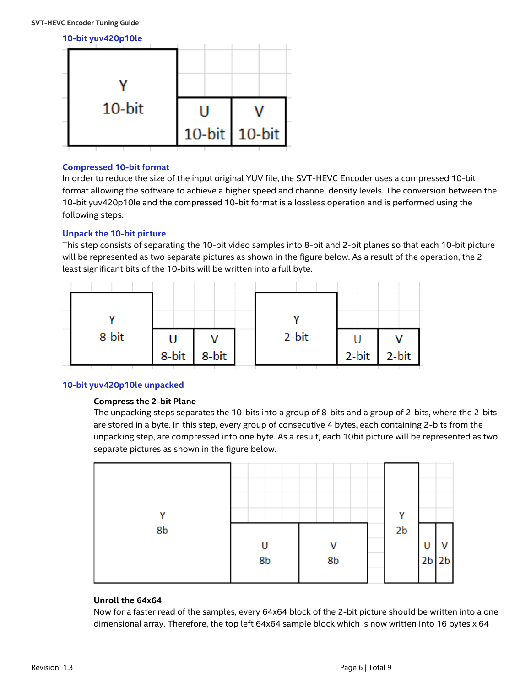

#### **Compressed 10-bit format**

In order to reduce the size of the input original YUV file, the SVT-HEVC Encoder uses a compressed 10-bit format allowing the software to achieve a higher speed and channel density levels. The conversion between the 10-bit yuv420p10le and the compressed 10-bit format is a lossless operation and is performed using the following steps.

#### **Unpack the 10-bit picture**

This step consists of separating the 10-bit video samples into 8-bit and 2-bit planes so that each 10-bit picture will be represented as two separate pictures as shown in the figure below. As a result of the operation, the 2 least significant bits of the 10-bits will be written into a full byte.



#### **10-bit yuv420p10le unpacked**

#### **Compress the 2-bit Plane**

The unpacking steps separates the 10-bits into a group of 8-bits and a group of 2-bits, where the 2-bits are stored in a byte. In this step, every group of consecutive 4 bytes, each containing 2-bits from the unpacking step, are compressed into one byte. As a result, each 10bit picture will be represented as two separate pictures as shown in the figure below.



#### **Unroll the 64x64**

Now for a faster read of the samples, every 64x64 block of the 2-bit picture should be written into a one dimensional array. Therefore, the top left 64x64 sample block which is now written into 16 bytes x 64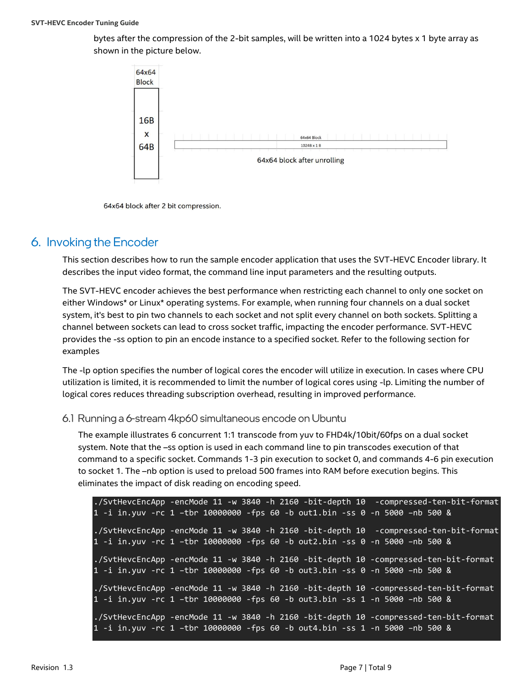bytes after the compression of the 2-bit samples, will be written into a 1024 bytes x 1 byte array as shown in the picture below.



64x64 block after 2 bit compression.

## <span id="page-6-0"></span>6. Invoking the Encoder

This section describes how to run the sample encoder application that uses the SVT-HEVC Encoder library. It describes the input video format, the command line input parameters and the resulting outputs.

The SVT-HEVC encoder achieves the best performance when restricting each channel to only one socket on either Windows\* or Linux\* operating systems. For example, when running four channels on a dual socket system, it's best to pin two channels to each socket and not split every channel on both sockets. Splitting a channel between sockets can lead to cross socket traffic, impacting the encoder performance. SVT-HEVC provides the -ss option to pin an encode instance to a specified socket. Refer to the following section for examples

The -lp option specifies the number of logical cores the encoder will utilize in execution. In cases where CPU utilization is limited, it is recommended to limit the number of logical cores using -lp. Limiting the number of logical cores reduces threading subscription overhead, resulting in improved performance.

#### <span id="page-6-1"></span>6.1 Running a 6-stream 4kp60 simultaneous encode on Ubuntu

The example illustrates 6 concurrent 1:1 transcode from yuv to FHD4k/10bit/60fps on a dual socket system. Note that the –ss option is used in each command line to pin transcodes execution of that command to a specific socket. Commands 1-3 pin execution to socket 0, and commands 4-6 pin execution to socket 1. The –nb option is used to preload 500 frames into RAM before execution begins. This eliminates the impact of disk reading on encoding speed.

./SvtHevcEncApp -encMode 11 -w 3840 -h 2160 -bit-depth 10 -compressed-ten-bit-format 1 -i in.yuv -rc 1 –tbr 10000000 -fps 60 -b out1.bin -ss 0 -n 5000 –nb 500 & ./SvtHevcEncApp -encMode 11 -w 3840 -h 2160 -bit-depth 10 -compressed-ten-bit-format 1 -i in.yuv -rc 1 –tbr 10000000 -fps 60 -b out2.bin -ss 0 -n 5000 –nb 500 & ./SvtHevcEncApp -encMode 11 -w 3840 -h 2160 -bit-depth 10 -compressed-ten-bit-format 1 -i in.yuv -rc 1 –tbr 10000000 -fps 60 -b out3.bin -ss 0 -n 5000 –nb 500 & ./SvtHevcEncApp -encMode 11 -w 3840 -h 2160 -bit-depth 10 -compressed-ten-bit-format 1 -i in.yuv -rc 1 –tbr 10000000 -fps 60 -b out3.bin -ss 1 -n 5000 –nb 500 & ./SvtHevcEncApp -encMode 11 -w 3840 -h 2160 -bit-depth 10 -compressed-ten-bit-format 1 -i in.yuv -rc 1 –tbr 10000000 -fps 60 -b out4.bin -ss 1 -n 5000 –nb 500 &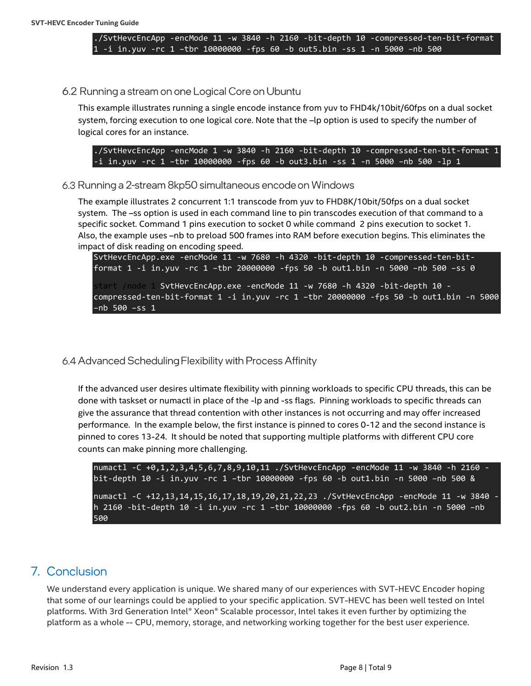./SvtHevcEncApp -encMode 11 -w 3840 -h 2160 -bit-depth 10 -compressed-ten-bit-format 1 -i in.yuv -rc 1 –tbr 10000000 -fps 60 -b out5.bin -ss 1 -n 5000 –nb 500

#### <span id="page-7-0"></span>6.2 Running a stream on one Logical Core on Ubuntu

This example illustrates running a single encode instance from yuv to FHD4k/10bit/60fps on a dual socket system, forcing execution to one logical core. Note that the –lp option is used to specify the number of logical cores for an instance.

./SvtHevcEncApp -encMode 1 -w 3840 -h 2160 -bit-depth 10 -compressed-ten-bit-format 1 -i in.yuv -rc 1 –tbr 10000000 -fps 60 -b out3.bin -ss 1 -n 5000 –nb 500 -lp 1

#### <span id="page-7-1"></span>6.3 Running a 2-stream 8kp50 simultaneous encode on Windows

The example illustrates 2 concurrent 1:1 transcode from yuv to FHD8K/10bit/50fps on a dual socket system. The –ss option is used in each command line to pin transcodes execution of that command to a specific socket. Command 1 pins execution to socket 0 while command 2 pins execution to socket 1. Also, the example uses –nb to preload 500 frames into RAM before execution begins. This eliminates the impact of disk reading on encoding speed.

SvtHevcEncApp.exe -encMode 11 -w 7680 -h 4320 -bit-depth 10 -compressed-ten-bitformat 1 -i in.yuv -rc 1 –tbr 20000000 -fps 50 -b out1.bin -n 5000 –nb 500 –ss 0 start /node 1 SvtHevcEncApp.exe -encMode 11 -w 7680 -h 4320 -bit-depth 10 compressed-ten-bit-format 1 -i in.yuv -rc 1 –tbr 20000000 -fps 50 -b out1.bin -n 5000 –nb 500 –ss 1

#### <span id="page-7-2"></span>6.4 Advanced Scheduling Flexibility with Process Affinity

If the advanced user desires ultimate flexibility with pinning workloads to specific CPU threads, this can be done with taskset or numactl in place of the -lp and -ss flags. Pinning workloads to specific threads can give the assurance that thread contention with other instances is not occurring and may offer increased performance. In the example below, the first instance is pinned to cores 0-12 and the second instance is pinned to cores 13-24. It should be noted that supporting multiple platforms with different CPU core counts can make pinning more challenging.

numactl -C +0,1,2,3,4,5,6,7,8,9,10,11 ./SvtHevcEncApp -encMode 11 -w 3840 -h 2160 bit-depth 10 -i in.yuv -rc 1 –tbr 10000000 -fps 60 -b out1.bin -n 5000 –nb 500 & numactl -C +12,13,14,15,16,17,18,19,20,21,22,23 ./SvtHevcEncApp -encMode 11 -w 3840 h 2160 -bit-depth 10 -i in.yuv -rc 1 –tbr 10000000 -fps 60 -b out2.bin -n 5000 –nb 500

## <span id="page-7-3"></span>7. Conclusion

We understand every application is unique. We shared many of our experiences with SVT-HEVC Encoder hoping that some of our learnings could be applied to your specific application. SVT-HEVC has been well tested on Intel platforms. With 3rd Generation Intel® Xeon® Scalable processor, Intel takes it even further by optimizing the platform as a whole -- CPU, memory, storage, and networking working together for the best user experience.